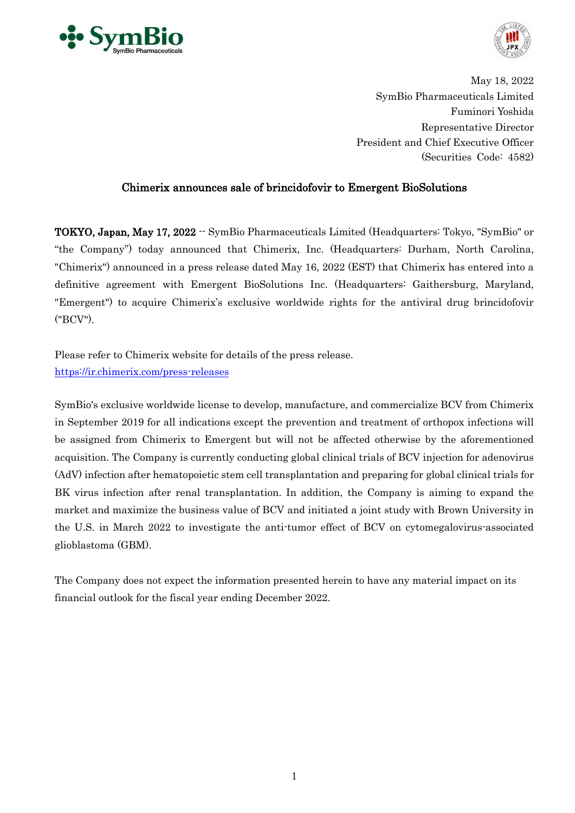



May 18, 2022 SymBio Pharmaceuticals Limited Fuminori Yoshida Representative Director President and Chief Executive Officer (Securities Code: 4582)

# Chimerix announces sale of brincidofovir to Emergent BioSolutions

TOKYO, Japan, May 17, 2022 -- SymBio Pharmaceuticals Limited (Headquarters: Tokyo, "SymBio" or "the Company") today announced that Chimerix, Inc. (Headquarters: Durham, North Carolina, "Chimerix") announced in a press release dated May 16, 2022 (EST) that Chimerix has entered into a definitive agreement with Emergent BioSolutions Inc. (Headquarters: Gaithersburg, Maryland, "Emergent") to acquire Chimerix's exclusive worldwide rights for the antiviral drug brincidofovir ("BCV").

Please refer to Chimerix website for details of the press release. <https://ir.chimerix.com/press-releases>

SymBio's exclusive worldwide license to develop, manufacture, and commercialize BCV from Chimerix in September 2019 for all indications except the prevention and treatment of orthopox infections will be assigned from Chimerix to Emergent but will not be affected otherwise by the aforementioned acquisition. The Company is currently conducting global clinical trials of BCV injection for adenovirus (AdV) infection after hematopoietic stem cell transplantation and preparing for global clinical trials for BK virus infection after renal transplantation. In addition, the Company is aiming to expand the market and maximize the business value of BCV and initiated a joint study with Brown University in the U.S. in March 2022 to investigate the anti-tumor effect of BCV on cytomegalovirus-associated glioblastoma (GBM).

The Company does not expect the information presented herein to have any material impact on its financial outlook for the fiscal year ending December 2022.